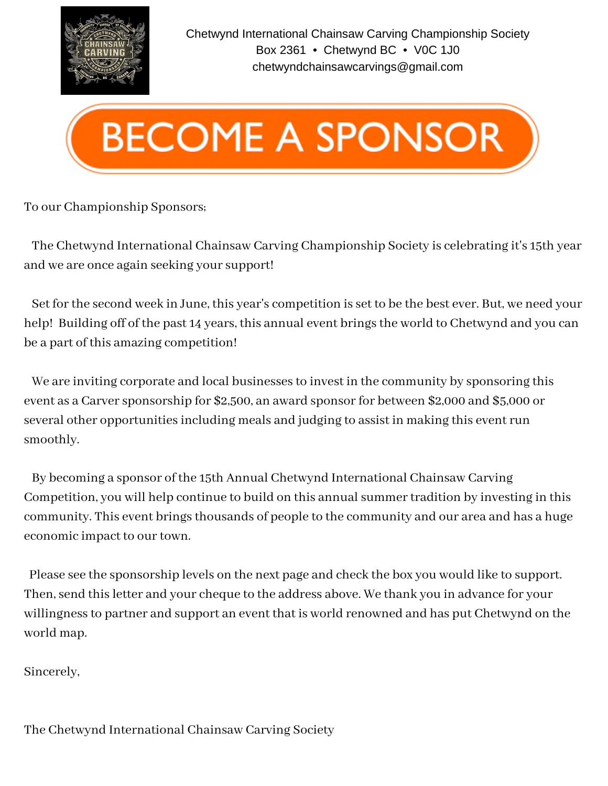



#### To our Championship Sponsors;

The Chetwynd International Chainsaw Carving Championship Society is celebrating it's 15th year and we are once again seeking your support!

Set for the second week in June, this year's competition is set to be the best ever. But, we need your help! Building off of the past 14 years, this annual event brings the world to Chetwynd and you can be a part of this amazing competition!

We are inviting corporate and local businesses to invest in the community by sponsoring this event as a Carver sponsorship for \$2,500, an award sponsor for between \$2,000 and \$5,000 or several other opportunities including meals and judging to assist in making this event run smoothly.

By becoming a sponsor of the 15th Annual Chetwynd International Chainsaw Carving Competition, you will help continue to build on this annual summer tradition by investing in this community. This event brings thousands of people to the community and our area and has a huge economic impact to our town.

Please see the sponsorship levels on the next page and check the box you would like to support. Then, send this letter and your cheque to the address above. We thank you in advance for your willingnessto partner and support an event that is world renowned and has put Chetwynd on the world map.

Sincerely,

The Chetwynd International Chainsaw Carving Society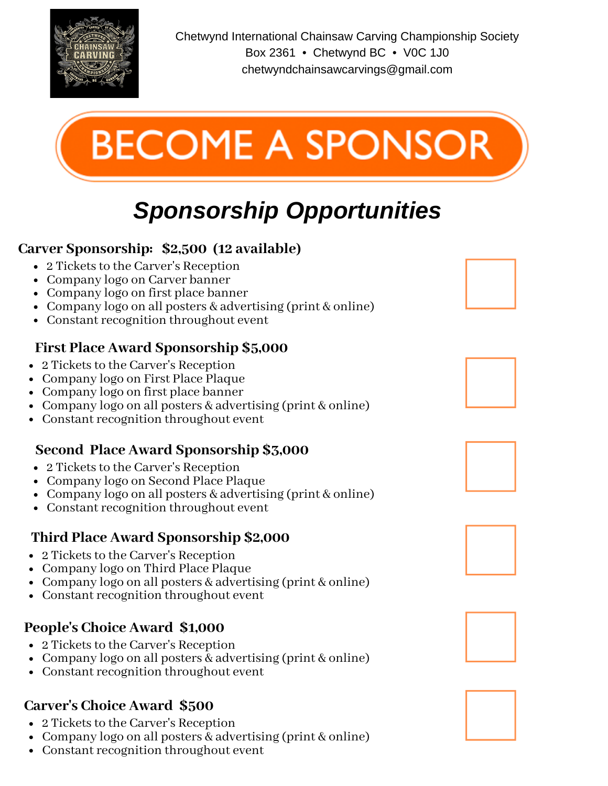

Chetwynd International Chainsaw Carving Championship Society Box 2361 • Chetwynd BC • V0C 1J0 chetwyndchainsawcarvings@gmail.com



# *Sponsorship Opportunities*

# **Carver Sponsorship: \$2,500 (12 available)**

- 2 Tickets to the Carver's Reception
- Company logo on Carver banner
- Company logo on first place banner
- Company logo on all posters & advertising (print & online)
- Constant recognition throughout event

### **First Place Award Sponsorship \$5,000**

- 2 Tickets to the Carver's Reception
- Company logo on First Place Plaque
- Company logo on first place banner
- Company logo on all posters & advertising (print & online)
- Constant recognition throughout event

## **Second Place Award Sponsorship \$3,000**

- 2 Tickets to the Carver's Reception
- Company logo on Second Place Plaque
- Company logo on all posters & advertising (print & online)
- Constant recognition throughout event

#### **Third Place Award Sponsorship \$2,000**

- 2 Tickets to the Carver's Reception
- Company logo on Third Place Plaque
- Company logo on all posters & advertising (print & online)
- Constant recognition throughout event

## **People's Choice Award \$1,000**

- 2 Tickets to the Carver's Reception
- Company logo on all posters & advertising (print & online)
- Constant recognition throughout event

## **Carver's Choice Award \$500**

- 2 Tickets to the Carver's Reception
- Company logo on all posters & advertising (print & online)
- Constant recognition throughout event